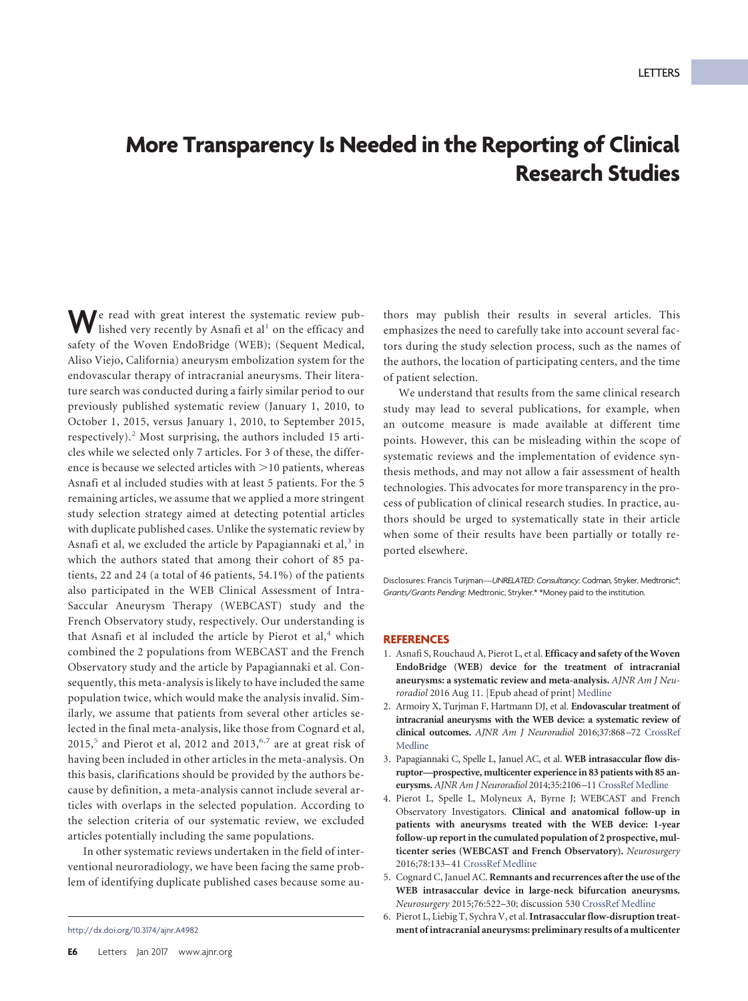## **More Transparency Is Needed in the Reporting of Clinical Research Studies**

**W**e read with great interest the systematic review published very recently by Asnafi et  $al<sup>1</sup>$  on the efficacy and safety of the Woven EndoBridge (WEB); (Sequent Medical, Aliso Viejo, California) aneurysm embolization system for the endovascular therapy of intracranial aneurysms. Their literature search was conducted during a fairly similar period to our previously published systematic review (January 1, 2010, to October 1, 2015, versus January 1, 2010, to September 2015, respectively). $<sup>2</sup>$  Most surprising, the authors included 15 arti-</sup> cles while we selected only 7 articles. For 3 of these, the difference is because we selected articles with  $>$  10 patients, whereas Asnafi et al included studies with at least 5 patients. For the 5 remaining articles, we assume that we applied a more stringent study selection strategy aimed at detecting potential articles with duplicate published cases. Unlike the systematic review by Asnafi et al, we excluded the article by Papagiannaki et al, $3$  in which the authors stated that among their cohort of 85 patients, 22 and 24 (a total of 46 patients, 54.1%) of the patients also participated in the WEB Clinical Assessment of Intra-Saccular Aneurysm Therapy (WEBCAST) study and the French Observatory study, respectively. Our understanding is that Asnafi et al included the article by Pierot et  $al$ ,<sup>4</sup> which combined the 2 populations from WEBCAST and the French Observatory study and the article by Papagiannaki et al. Consequently, this meta-analysis is likely to have included the same population twice, which would make the analysis invalid. Similarly, we assume that patients from several other articles selected in the final meta-analysis, like those from Cognard et al,  $2015$ <sup>5</sup> and Pierot et al, 2012 and 2013,<sup>6,7</sup> are at great risk of having been included in other articles in the meta-analysis. On this basis, clarifications should be provided by the authors because by definition, a meta-analysis cannot include several articles with overlaps in the selected population. According to the selection criteria of our systematic review, we excluded articles potentially including the same populations.

In other systematic reviews undertaken in the field of interventional neuroradiology, we have been facing the same problem of identifying duplicate published cases because some au-

thors may publish their results in several articles. This emphasizes the need to carefully take into account several factors during the study selection process, such as the names of the authors, the location of participating centers, and the time of patient selection.

We understand that results from the same clinical research study may lead to several publications, for example, when an outcome measure is made available at different time points. However, this can be misleading within the scope of systematic reviews and the implementation of evidence synthesis methods, and may not allow a fair assessment of health technologies. This advocates for more transparency in the process of publication of clinical research studies. In practice, authors should be urged to systematically state in their article when some of their results have been partially or totally reported elsewhere.

Disclosures: Francis Turjman—*UNRELATED*: *Consultancy*: Codman, Stryker, Medtronic\*; *Grants/Grants Pending*: Medtronic, Stryker.\* \*Money paid to the institution.

## **REFERENCES**

- 1. Asnafi S, Rouchaud A, Pierot L, et al. **Efficacy and safety of the Woven EndoBridge (WEB) device for the treatment of intracranial aneurysms: a systematic review and meta-analysis.** *AJNR Am J Neuroradiol* 2016 Aug 11. [Epub ahead of print] [Medline](http://www.ncbi.nlm.nih.gov/pubmed/27516237)
- 2. Armoiry X, Turjman F, Hartmann DJ, et al. **Endovascular treatment of intracranial aneurysms with the WEB device: a systematic review of clinical outcomes.** *AJNR Am J Neuroradiol* 2016;37:868 –72 [CrossRef](http://dx.doi.org/10.3174/ajnr.A4611) [Medline](http://www.ncbi.nlm.nih.gov/pubmed/26585260)
- 3. Papagiannaki C, Spelle L, Januel AC, et al. **WEB intrasaccular flow disruptor—prospective, multicenter experience in 83 patients with 85 aneurysms.** *AJNR Am J Neuroradiol* 2014;35:2106 –11 [CrossRef](http://dx.doi.org/10.3174/ajnr.A4028) [Medline](http://www.ncbi.nlm.nih.gov/pubmed/24994823)
- 4. Pierot L, Spelle L, Molyneux A, Byrne J; WEBCAST and French Observatory Investigators. **Clinical and anatomical follow-up in patients with aneurysms treated with the WEB device: 1-year follow-up report in the cumulated population of 2 prospective, multicenter series (WEBCAST and French Observatory).** *Neurosurgery* 2016;78:133–41 [CrossRef](http://dx.doi.org/10.1227/NEU.0000000000001106) [Medline](http://www.ncbi.nlm.nih.gov/pubmed/26552042)
- 5. Cognard C, Januel AC. **Remnants and recurrences after the use of the WEB intrasaccular device in large-neck bifurcation aneurysms.** *Neurosurgery* 2015;76:522–30; discussion 530 [CrossRef](http://dx.doi.org/10.1227/NEU.0000000000000669) [Medline](http://www.ncbi.nlm.nih.gov/pubmed/25710103)
- 6. Pierot L, Liebig T, Sychra V, et al.**Intrasaccular flow-disruption treat**http://dx.doi.org/10.3174/ajnr.A4982 **ment of intracranial aneurysms: preliminary results of a multicenter**